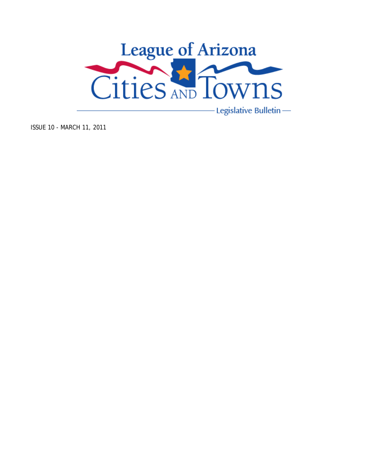

- Legislative Bulletin -

ISSUE 10 - MARCH 11, 2011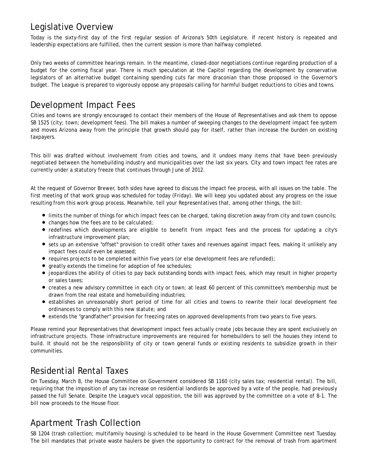### Legislative Overview

Today is the sixty-first day of the first regular session of Arizona's 50th Legislature. If recent history is repeated and leadership expectations are fulfilled, then the current session is more than halfway completed.

Only two weeks of committee hearings remain. In the meantime, closed-door negotiations continue regarding production of a budget for the coming fiscal year. There is much speculation at the Capitol regarding the development by conservative legislators of an alternative budget containing spending cuts far more draconian than those proposed in the Governor's budget. The League is prepared to vigorously oppose any proposals calling for harmful budget reductions to cities and towns.

### Development Impact Fees

Cities and towns are strongly encouraged to contact their members of the House of Representatives and ask them to oppose SB 1525 (city; town; development fees). The bill makes a number of sweeping changes to the development impact fee system and moves Arizona away from the principle that growth should pay for itself, rather than increase the burden on existing taxpayers.

This bill was drafted without involvement from cities and towns, and it undoes many items that have been previously negotiated between the homebuilding industry and municipalities over the last six years. City and town impact fee rates are currently under a statutory freeze that continues through June of 2012.

At the request of Governor Brewer, both sides have agreed to discuss the impact fee process, with all issues on the table. The first meeting of that work group was scheduled for today (Friday). We will keep you updated about any progress on the issue resulting from this work group process. Meanwhile, tell your Representatives that, among other things, the bill:

- limits the number of things for which impact fees can be charged, taking discretion away from city and town councils;
- changes how the fees are to be calculated;
- redefines which developments are eligible to benefit from impact fees and the process for updating a city's infrastructure improvement plan;
- sets up an extensive "offset" provision to credit other taxes and revenues against impact fees, making it unlikely any impact fees could even be assessed;
- $\bullet$  requires projects to be completed within five years (or else development fees are refunded);
- greatly extends the timeline for adoption of fee schedules;
- jeopardizes the ability of cities to pay back outstanding bonds with impact fees, which may result in higher property or sales taxes;
- creates a new advisory committee in each city or town; at least 60 percent of this committee's membership must be drawn from the real estate and homebuilding industries;
- establishes an unreasonably short period of time for all cities and towns to rewrite their local development fee ordinances to comply with this new statute; and
- extends the "grandfather" provision for freezing rates on approved developments from two years to five years.

Please remind your Representatives that development impact fees actually create jobs because they are spent exclusively on infrastructure projects. Those infrastructure improvements are required for homebuilders to sell the houses they intend to build. It should not be the responsibility of city or town general funds or existing residents to subsidize growth in their communities.

# Residential Rental Taxes

On Tuesday, March 8, the House Committee on Government considered SB 1160 (city sales tax; residential rental). The bill, requiring that the imposition of any tax increase on residential landlords be approved by a vote of the people, had previously passed the full Senate. Despite the League's vocal opposition, the bill was approved by the committee on a vote of 8-1. The bill now proceeds to the House floor.

# Apartment Trash Collection

SB 1204 (trash collection; multifamily housing) is scheduled to be heard in the House Government Committee next Tuesday. The bill mandates that private waste haulers be given the opportunity to contract for the removal of trash from apartment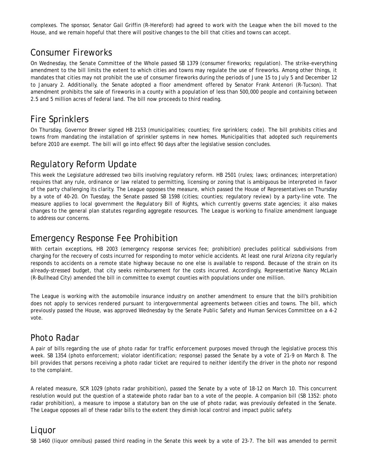complexes. The sponsor, Senator Gail Griffin (R-Hereford) had agreed to work with the League when the bill moved to the House, and we remain hopeful that there will positive changes to the bill that cities and towns can accept.

## Consumer Fireworks

On Wednesday, the Senate Committee of the Whole passed SB 1379 (consumer fireworks; regulation). The strike-everything amendment to the bill limits the extent to which cities and towns may regulate the use of fireworks. Among other things, it mandates that cities may not prohibit the use of consumer fireworks during the periods of June 15 to July 5 and December 12 to January 2. Additionally, the Senate adopted a floor amendment offered by Senator Frank Antenori (R-Tucson). That amendment prohibits the sale of fireworks in a county with a population of less than 500,000 people and containing between 2.5 and 5 million acres of federal land. The bill now proceeds to third reading.

## Fire Sprinklers

On Thursday, Governor Brewer signed HB 2153 (municipalities; counties; fire sprinklers; code). The bill prohibits cities and towns from mandating the installation of sprinkler systems in new homes. Municipalities that adopted such requirements before 2010 are exempt. The bill will go into effect 90 days after the legislative session concludes.

# Regulatory Reform Update

This week the Legislature addressed two bills involving regulatory reform. HB 2501 (rules; laws; ordinances; interpretation) requires that any rule, ordinance or law related to permitting, licensing or zoning that is ambiguous be interpreted in favor of the party challenging its clarity. The League opposes the measure, which passed the House of Representatives on Thursday by a vote of 40-20. On Tuesday, the Senate passed SB 1598 (cities; counties; regulatory review) by a party-line vote. The measure applies to local government the Regulatory Bill of Rights, which currently governs state agencies; it also makes changes to the general plan statutes regarding aggregate resources. The League is working to finalize amendment language to address our concerns.

#### Emergency Response Fee Prohibition

With certain exceptions, HB 2003 (emergency response services fee; prohibition) precludes political subdivisions from charging for the recovery of costs incurred for responding to motor vehicle accidents. At least one rural Arizona city regularly responds to accidents on a remote state highway because no one else is available to respond. Because of the strain on its already-stressed budget, that city seeks reimbursement for the costs incurred. Accordingly, Representative Nancy McLain (R-Bullhead City) amended the bill in committee to exempt counties with populations under one million.

The League is working with the automobile insurance industry on another amendment to ensure that the bill's prohibition does not apply to services rendered pursuant to intergovernmental agreements between cities and towns. The bill, which previously passed the House, was approved Wednesday by the Senate Public Safety and Human Services Committee on a 4-2 vote.

#### Photo Radar

A pair of bills regarding the use of photo radar for traffic enforcement purposes moved through the legislative process this week. SB 1354 (photo enforcement; violator identification; response) passed the Senate by a vote of 21-9 on March 8. The bill provides that persons receiving a photo radar ticket are required to neither identify the driver in the photo nor respond to the complaint.

A related measure, SCR 1029 (photo radar prohibition), passed the Senate by a vote of 18-12 on March 10. This concurrent resolution would put the question of a statewide photo radar ban to a vote of the people. A companion bill (SB 1352: photo radar prohibition), a measure to impose a statutory ban on the use of photo radar, was previously defeated in the Senate. The League opposes all of these radar bills to the extent they dimish local control and impact public safety.

#### Liquor

SB 1460 (liquor omnibus) passed third reading in the Senate this week by a vote of 23-7. The bill was amended to permit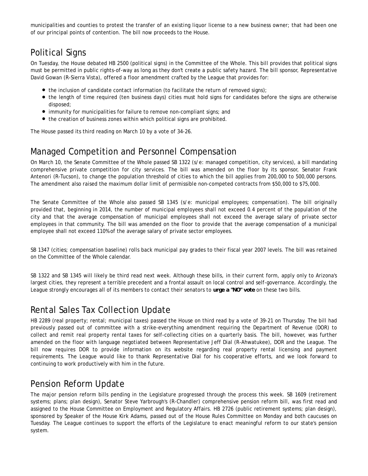municipalities and counties to protest the transfer of an existing liquor license to a new business owner; that had been one of our principal points of contention. The bill now proceeds to the House.

# Political Signs

On Tuesday, the House debated HB 2500 (political signs) in the Committee of the Whole. This bill provides that political signs must be permitted in public rights-of-way as long as they don't create a public safety hazard. The bill sponsor, Representative David Gowan (R-Sierra Vista), offered a floor amendment crafted by the League that provides for:

- the inclusion of candidate contact information (to facilitate the return of removed signs);
- the length of time required (ten business days) cities must hold signs for candidates before the signs are otherwise disposed;
- immunity for municipalities for failure to remove non-compliant signs; and
- the creation of business zones within which political signs are prohibited.

The House passed its third reading on March 10 by a vote of 34-26.

# Managed Competition and Personnel Compensation

On March 10, the Senate Committee of the Whole passed SB 1322 (s/e: managed competition, city services), a bill mandating comprehensive private competition for city services. The bill was amended on the floor by its sponsor, Senator Frank Antenori (R-Tucson), to change the population threshold of cities to which the bill applies from 200,000 to 500,000 persons. The amendment also raised the maximum dollar limit of permissible non-competed contracts from \$50,000 to \$75,000.

The Senate Committee of the Whole also passed SB 1345 (s/e: municipal employees; compensation). The bill originally provided that, beginning in 2014, the number of municipal employees shall not exceed 0.4 percent of the population of the city and that the average compensation of municipal employees shall not exceed the average salary of private sector employees in that community. The bill was amended on the floor to provide that the average compensation of a municipal employee shall not exceed 110% of the average salary of private sector employees.

SB 1347 (cities; compensation baseline) rolls back municipal pay grades to their fiscal year 2007 levels. The bill was retained on the Committee of the Whole calendar.

SB 1322 and SB 1345 will likely be third read next week. Although these bills, in their current form, apply only to Arizona's largest cities, they represent a terrible precedent and a frontal assault on local control and self-governance. Accordingly, the League strongly encourages all of its members to contact their senators to **urge a "NO" vote** on these two bills.

# Rental Sales Tax Collection Update

HB 2289 (real property; rental; municipal taxes) passed the House on third read by a vote of 39-21 on Thursday. The bill had previously passed out of committee with a strike-everything amendment requiring the Department of Revenue (DOR) to collect and remit real property rental taxes for self-collecting cities on a quarterly basis. The bill, however, was further amended on the floor with language negotiated between Representative Jeff Dial (R-Ahwatukee), DOR and the League. The bill now requires DOR to provide information on its website regarding real property rental licensing and payment requirements. The League would like to thank Representative Dial for his cooperative efforts, and we look forward to continuing to work productively with him in the future.

#### Pension Reform Update

The major pension reform bills pending in the Legislature progressed through the process this week. SB 1609 (retirement systems; plans; plan design), Senator Steve Yarbrough's (R-Chandler) comprehensive pension reform bill, was first read and assigned to the House Committee on Employment and Regulatory Affairs. HB 2726 (public retirement systems; plan design), sponsored by Speaker of the House Kirk Adams, passed out of the House Rules Committee on Monday and both caucuses on Tuesday. The League continues to support the efforts of the Legislature to enact meaningful reform to our state's pension system.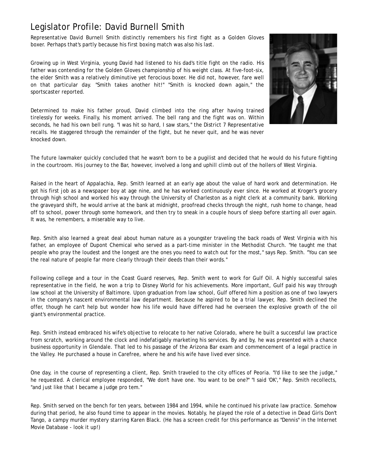### Legislator Profile: David Burnell Smith

Representative David Burnell Smith distinctly remembers his first fight as a Golden Gloves boxer. Perhaps that's partly because his first boxing match was also his last.

Growing up in West Virginia, young David had listened to his dad's title fight on the radio. His father was contending for the Golden Gloves championship of his weight class. At five-foot-six, the elder Smith was a relatively diminutive yet ferocious boxer. He did not, however, fare well on that particular day. "Smith takes another hit!" "Smith is knocked down again," the sportscaster reported.

Determined to make his father proud, David climbed into the ring after having trained tirelessly for weeks. Finally, his moment arrived. The bell rang and the fight was on. Within seconds, he had his own bell rung. "I was hit so hard, I saw stars," the District 7 Representative recalls. He staggered through the remainder of the fight, but he never quit, and he was never knocked down.



The future lawmaker quickly concluded that he wasn't born to be a pugilist and decided that he would do his future fighting in the courtroom. His journey to the Bar, however, involved a long and uphill climb out of the hollers of West Virginia.

Raised in the heart of Appalachia, Rep. Smith learned at an early age about the value of hard work and determination. He got his first job as a newspaper boy at age nine, and he has worked continuously ever since. He worked at Kroger's grocery through high school and worked his way through the University of Charleston as a night clerk at a community bank. Working the graveyard shift, he would arrive at the bank at midnight, proofread checks through the night, rush home to change, head off to school, power through some homework, and then try to sneak in a couple hours of sleep before starting all over again. It was, he remembers, a miserable way to live.

Rep. Smith also learned a great deal about human nature as a youngster traveling the back roads of West Virginia with his father, an employee of Dupont Chemical who served as a part-time minister in the Methodist Church. "He taught me that people who pray the loudest and the longest are the ones you need to watch out for the most," says Rep. Smith. "You can see the real nature of people far more clearly through their deeds than their words."

Following college and a tour in the Coast Guard reserves, Rep. Smith went to work for Gulf Oil. A highly successful sales representative in the field, he won a trip to Disney World for his achievements. More important, Gulf paid his way through law school at the University of Baltimore. Upon graduation from law school, Gulf offered him a position as one of two lawyers in the company's nascent environmental law department. Because he aspired to be a trial lawyer, Rep. Smith declined the offer, though he can't help but wonder how his life would have differed had he overseen the explosive growth of the oil giant's environmental practice.

Rep. Smith instead embraced his wife's objective to relocate to her native Colorado, where he built a successful law practice from scratch, working around the clock and indefatigably marketing his services. By and by, he was presented with a chance business opportunity in Glendale. That led to his passage of the Arizona Bar exam and commencement of a legal practice in the Valley. He purchased a house in Carefree, where he and his wife have lived ever since.

One day, in the course of representing a client, Rep. Smith traveled to the city offices of Peoria. "I'd like to see the judge," he requested. A clerical employee responded, "We don't have one. You want to be one?" "I said 'OK'," Rep. Smith recollects, "and just like that I became a judge pro tem."

Rep. Smith served on the bench for ten years, between 1984 and 1994, while he continued his private law practice. Somehow during that period, he also found time to appear in the movies. Notably, he played the role of a detective in Dead Girls Don't Tango, a campy murder mystery starring Karen Black. (He has a screen credit for this performance as "Dennis" in the Internet Movie Database - look it up!)